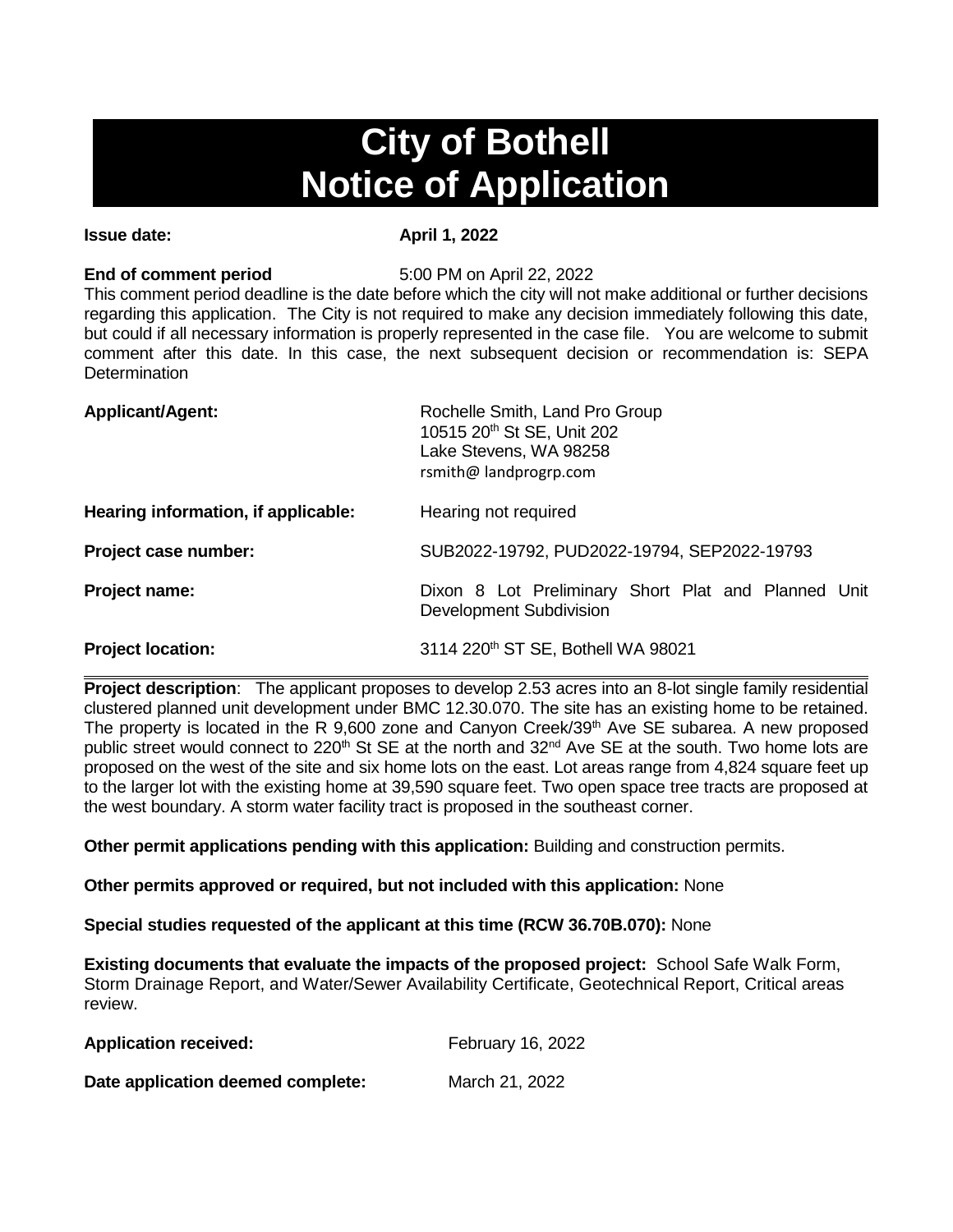# **City of Bothell Notice of Application**

### **Issue date:** April 1, 2022

**End of comment period** 5:00 PM on April 22, 2022

This comment period deadline is the date before which the city will not make additional or further decisions regarding this application. The City is not required to make any decision immediately following this date, but could if all necessary information is properly represented in the case file. You are welcome to submit comment after this date. In this case, the next subsequent decision or recommendation is: SEPA **Determination** 

| <b>Applicant/Agent:</b>             | Rochelle Smith, Land Pro Group<br>10515 20th St SE, Unit 202<br>Lake Stevens, WA 98258<br>rsmith@ landprogrp.com |  |
|-------------------------------------|------------------------------------------------------------------------------------------------------------------|--|
| Hearing information, if applicable: | Hearing not required                                                                                             |  |
| Project case number:                | SUB2022-19792, PUD2022-19794, SEP2022-19793                                                                      |  |
| Project name:                       | Dixon 8 Lot Preliminary Short Plat and Planned Unit<br>Development Subdivision                                   |  |
| <b>Project location:</b>            | 3114 220th ST SE, Bothell WA 98021                                                                               |  |

**Project description**: The applicant proposes to develop 2.53 acres into an 8-lot single family residential clustered planned unit development under BMC 12.30.070. The site has an existing home to be retained. The property is located in the R 9,600 zone and Canyon Creek/39<sup>th</sup> Ave SE subarea. A new proposed public street would connect to 220<sup>th</sup> St SE at the north and 32<sup>nd</sup> Ave SE at the south. Two home lots are proposed on the west of the site and six home lots on the east. Lot areas range from 4,824 square feet up to the larger lot with the existing home at 39,590 square feet. Two open space tree tracts are proposed at the west boundary. A storm water facility tract is proposed in the southeast corner.

**Other permit applications pending with this application:** Building and construction permits.

**Other permits approved or required, but not included with this application:** None

**Special studies requested of the applicant at this time (RCW 36.70B.070):** None

**Existing documents that evaluate the impacts of the proposed project:** School Safe Walk Form, Storm Drainage Report, and Water/Sewer Availability Certificate, Geotechnical Report, Critical areas review.

| <b>Application received:</b>      | February 16, 2022 |
|-----------------------------------|-------------------|
| Date application deemed complete: | March 21, 2022    |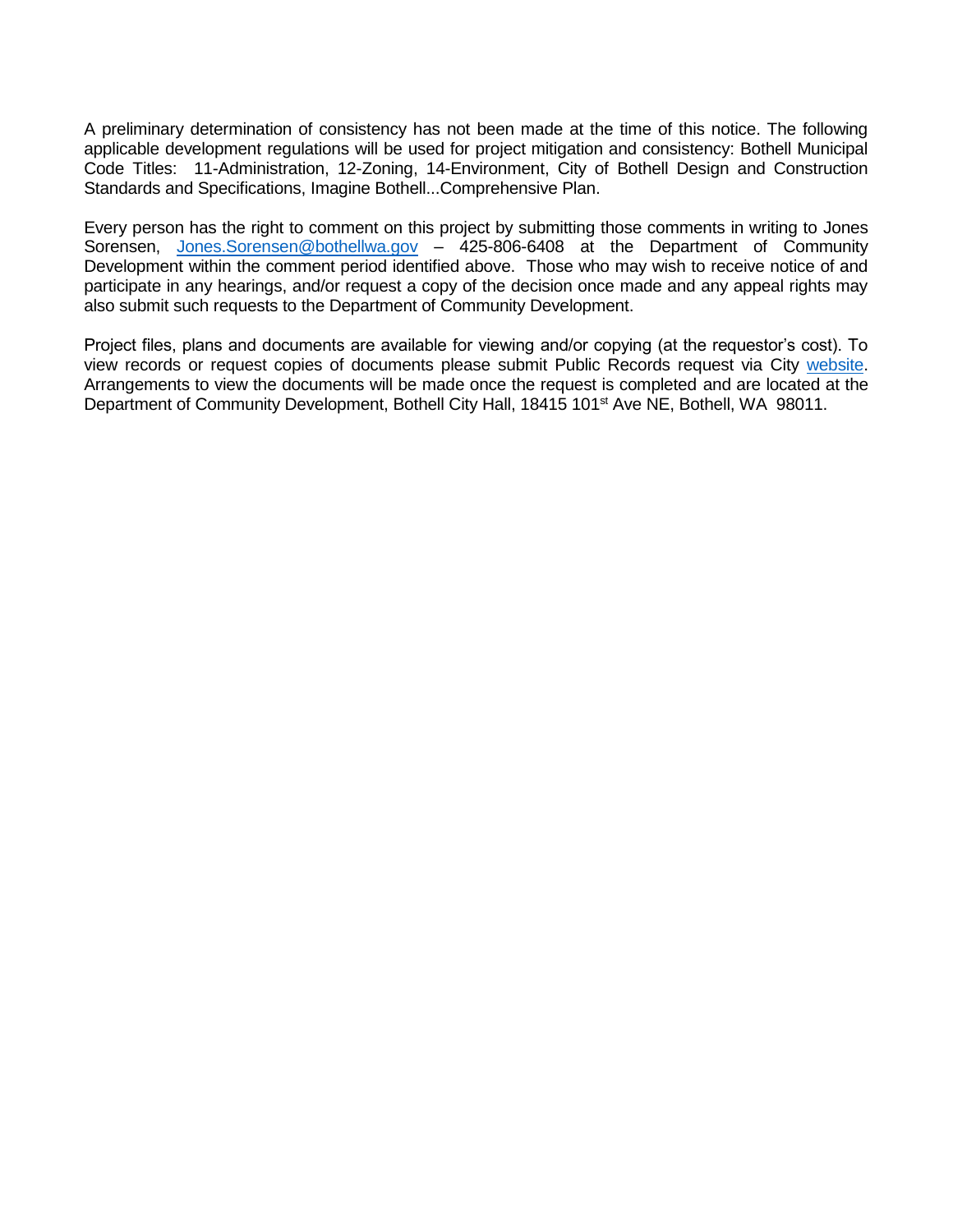A preliminary determination of consistency has not been made at the time of this notice. The following applicable development regulations will be used for project mitigation and consistency: Bothell Municipal Code Titles: 11-Administration, 12-Zoning, 14-Environment, City of Bothell Design and Construction Standards and Specifications, Imagine Bothell...Comprehensive Plan.

Every person has the right to comment on this project by submitting those comments in writing to Jones Sorensen, [Jones.Sorensen@bothellwa.gov](mailto:Jones.Sorensen@bothellwa.gov) - 425-806-6408 at the Department of Community Development within the comment period identified above. Those who may wish to receive notice of and participate in any hearings, and/or request a copy of the decision once made and any appeal rights may also submit such requests to the Department of Community Development.

Project files, plans and documents are available for viewing and/or copying (at the requestor's cost). To view records or request copies of documents please submit Public Records request via City [website.](https://bothellwa.mycusthelp.com/WEBAPP/_rs/(S(buo55z5nlwdya22dwvazlqaw))/SupportHome.aspx?sSessionID=&lp=2) Arrangements to view the documents will be made once the request is completed and are located at the Department of Community Development, Bothell City Hall, 18415 101<sup>st</sup> Ave NE, Bothell, WA 98011.